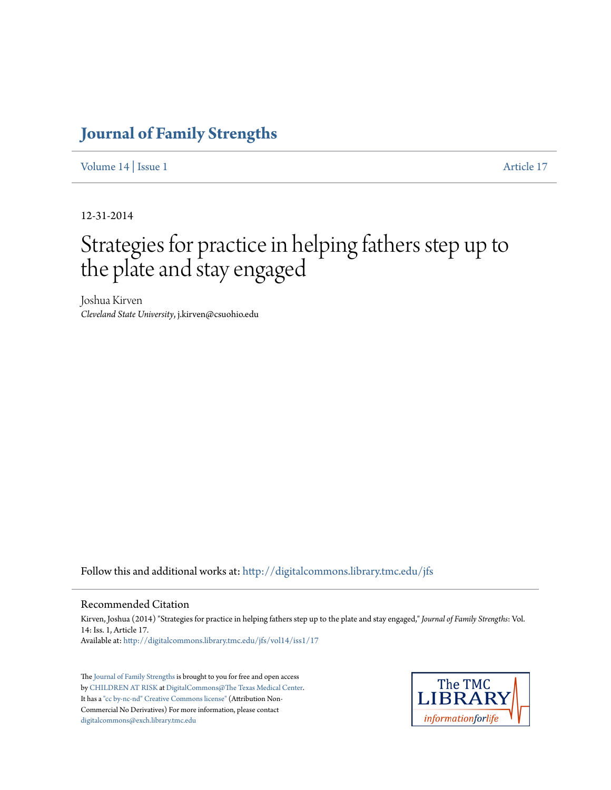## **[Journal of Family Strengths](http://digitalcommons.library.tmc.edu/jfs?utm_source=digitalcommons.library.tmc.edu%2Fjfs%2Fvol14%2Fiss1%2F17&utm_medium=PDF&utm_campaign=PDFCoverPages)**

[Volume 14](http://digitalcommons.library.tmc.edu/jfs/vol14?utm_source=digitalcommons.library.tmc.edu%2Fjfs%2Fvol14%2Fiss1%2F17&utm_medium=PDF&utm_campaign=PDFCoverPages) | [Issue 1](http://digitalcommons.library.tmc.edu/jfs/vol14/iss1?utm_source=digitalcommons.library.tmc.edu%2Fjfs%2Fvol14%2Fiss1%2F17&utm_medium=PDF&utm_campaign=PDFCoverPages) [Article 17](http://digitalcommons.library.tmc.edu/jfs/vol14/iss1/17?utm_source=digitalcommons.library.tmc.edu%2Fjfs%2Fvol14%2Fiss1%2F17&utm_medium=PDF&utm_campaign=PDFCoverPages)

12-31-2014

# Strategies for practice in helping fathers step up to the plate and stay engaged

Joshua Kirven *Cleveland State University*, j.kirven@csuohio.edu

Follow this and additional works at: [http://digitalcommons.library.tmc.edu/jfs](http://digitalcommons.library.tmc.edu/jfs?utm_source=digitalcommons.library.tmc.edu%2Fjfs%2Fvol14%2Fiss1%2F17&utm_medium=PDF&utm_campaign=PDFCoverPages)

#### Recommended Citation

Kirven, Joshua (2014) "Strategies for practice in helping fathers step up to the plate and stay engaged," *Journal of Family Strengths*: Vol. 14: Iss. 1, Article 17. Available at: [http://digitalcommons.library.tmc.edu/jfs/vol14/iss1/17](http://digitalcommons.library.tmc.edu/jfs/vol14/iss1/17?utm_source=digitalcommons.library.tmc.edu%2Fjfs%2Fvol14%2Fiss1%2F17&utm_medium=PDF&utm_campaign=PDFCoverPages)

The [Journal of Family Strengths](http://digitalcommons.library.tmc.edu/jfs) is brought to you for free and open access by [CHILDREN AT RISK](http://childrenatrisk.org/) at [DigitalCommons@The Texas Medical Center.](http://digitalcommons.library.tmc.edu/) It has a ["cc by-nc-nd" Creative Commons license"](http://creativecommons.org/licenses/by-nc-nd/3.0/) (Attribution Non-Commercial No Derivatives) For more information, please contact [digitalcommons@exch.library.tmc.edu](mailto:digitalcommons@exch.library.tmc.edu)

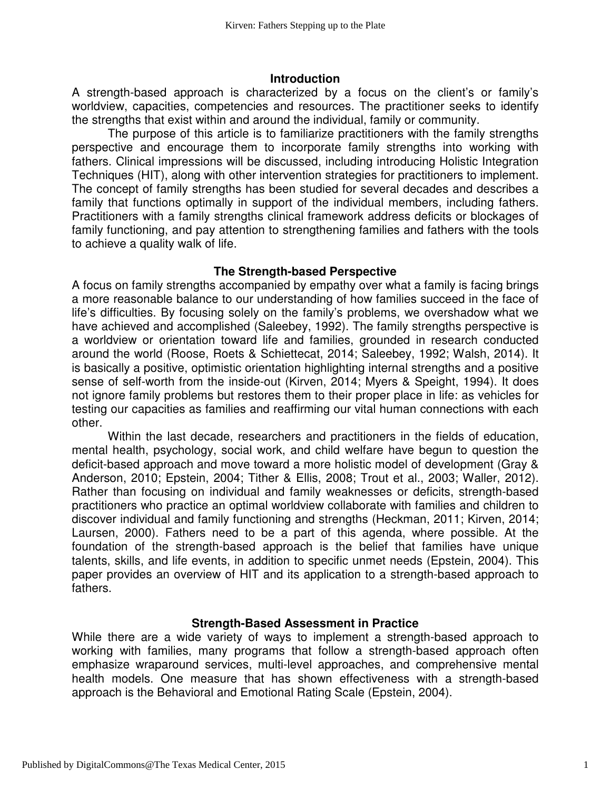#### **Introduction**

A strength-based approach is characterized by a focus on the client's or family's worldview, capacities, competencies and resources. The practitioner seeks to identify the strengths that exist within and around the individual, family or community.

The purpose of this article is to familiarize practitioners with the family strengths perspective and encourage them to incorporate family strengths into working with fathers. Clinical impressions will be discussed, including introducing Holistic Integration Techniques (HIT), along with other intervention strategies for practitioners to implement. The concept of family strengths has been studied for several decades and describes a family that functions optimally in support of the individual members, including fathers. Practitioners with a family strengths clinical framework address deficits or blockages of family functioning, and pay attention to strengthening families and fathers with the tools to achieve a quality walk of life.

#### **The Strength-based Perspective**

A focus on family strengths accompanied by empathy over what a family is facing brings a more reasonable balance to our understanding of how families succeed in the face of life's difficulties. By focusing solely on the family's problems, we overshadow what we have achieved and accomplished (Saleebey, 1992). The family strengths perspective is a worldview or orientation toward life and families, grounded in research conducted around the world (Roose, Roets & Schiettecat, 2014; Saleebey, 1992; Walsh, 2014). It is basically a positive, optimistic orientation highlighting internal strengths and a positive sense of self-worth from the inside-out (Kirven, 2014; Myers & Speight, 1994). It does not ignore family problems but restores them to their proper place in life: as vehicles for testing our capacities as families and reaffirming our vital human connections with each other.

Within the last decade, researchers and practitioners in the fields of education, mental health, psychology, social work, and child welfare have begun to question the deficit-based approach and move toward a more holistic model of development (Gray & Anderson, 2010; Epstein, 2004; Tither & Ellis, 2008; Trout et al., 2003; Waller, 2012). Rather than focusing on individual and family weaknesses or deficits, strength-based practitioners who practice an optimal worldview collaborate with families and children to discover individual and family functioning and strengths (Heckman, 2011; Kirven, 2014; Laursen, 2000). Fathers need to be a part of this agenda, where possible. At the foundation of the strength-based approach is the belief that families have unique talents, skills, and life events, in addition to specific unmet needs (Epstein, 2004). This paper provides an overview of HIT and its application to a strength-based approach to fathers.

#### **Strength-Based Assessment in Practice**

While there are a wide variety of ways to implement a strength-based approach to working with families, many programs that follow a strength-based approach often emphasize wraparound services, multi-level approaches, and comprehensive mental health models. One measure that has shown effectiveness with a strength-based approach is the Behavioral and Emotional Rating Scale (Epstein, 2004).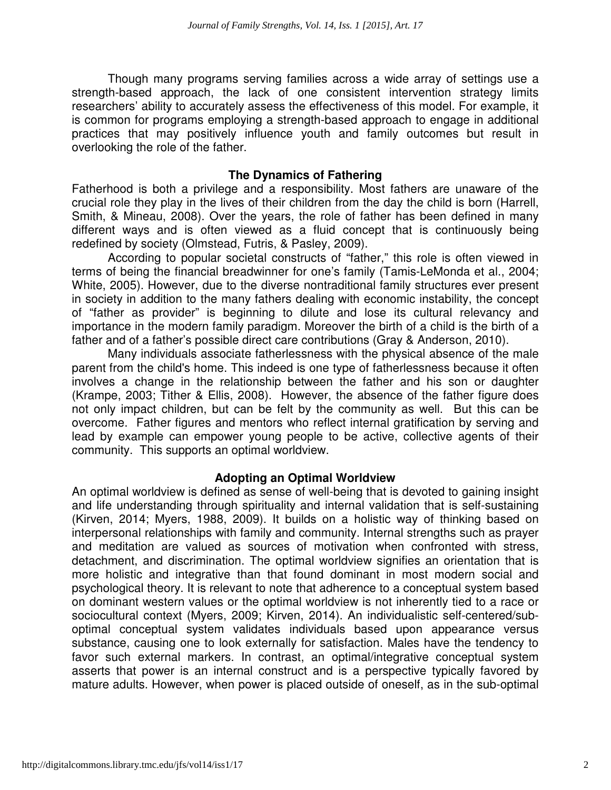Though many programs serving families across a wide array of settings use a strength-based approach, the lack of one consistent intervention strategy limits researchers' ability to accurately assess the effectiveness of this model. For example, it is common for programs employing a strength-based approach to engage in additional practices that may positively influence youth and family outcomes but result in overlooking the role of the father.

#### **The Dynamics of Fathering**

Fatherhood is both a privilege and a responsibility. Most fathers are unaware of the crucial role they play in the lives of their children from the day the child is born (Harrell, Smith, & Mineau, 2008). Over the years, the role of father has been defined in many different ways and is often viewed as a fluid concept that is continuously being redefined by society (Olmstead, Futris, & Pasley, 2009).

According to popular societal constructs of "father," this role is often viewed in terms of being the financial breadwinner for one's family (Tamis-LeMonda et al., 2004; White, 2005). However, due to the diverse nontraditional family structures ever present in society in addition to the many fathers dealing with economic instability, the concept of "father as provider" is beginning to dilute and lose its cultural relevancy and importance in the modern family paradigm. Moreover the birth of a child is the birth of a father and of a father's possible direct care contributions (Gray & Anderson, 2010).

Many individuals associate fatherlessness with the physical absence of the male parent from the child's home. This indeed is one type of fatherlessness because it often involves a change in the relationship between the father and his son or daughter (Krampe, 2003; Tither & Ellis, 2008). However, the absence of the father figure does not only impact children, but can be felt by the community as well. But this can be overcome. Father figures and mentors who reflect internal gratification by serving and lead by example can empower young people to be active, collective agents of their community. This supports an optimal worldview.

#### **Adopting an Optimal Worldview**

An optimal worldview is defined as sense of well-being that is devoted to gaining insight and life understanding through spirituality and internal validation that is self-sustaining (Kirven, 2014; Myers, 1988, 2009). It builds on a holistic way of thinking based on interpersonal relationships with family and community. Internal strengths such as prayer and meditation are valued as sources of motivation when confronted with stress, detachment, and discrimination. The optimal worldview signifies an orientation that is more holistic and integrative than that found dominant in most modern social and psychological theory. It is relevant to note that adherence to a conceptual system based on dominant western values or the optimal worldview is not inherently tied to a race or sociocultural context (Myers, 2009; Kirven, 2014). An individualistic self-centered/suboptimal conceptual system validates individuals based upon appearance versus substance, causing one to look externally for satisfaction. Males have the tendency to favor such external markers. In contrast, an optimal/integrative conceptual system asserts that power is an internal construct and is a perspective typically favored by mature adults. However, when power is placed outside of oneself, as in the sub-optimal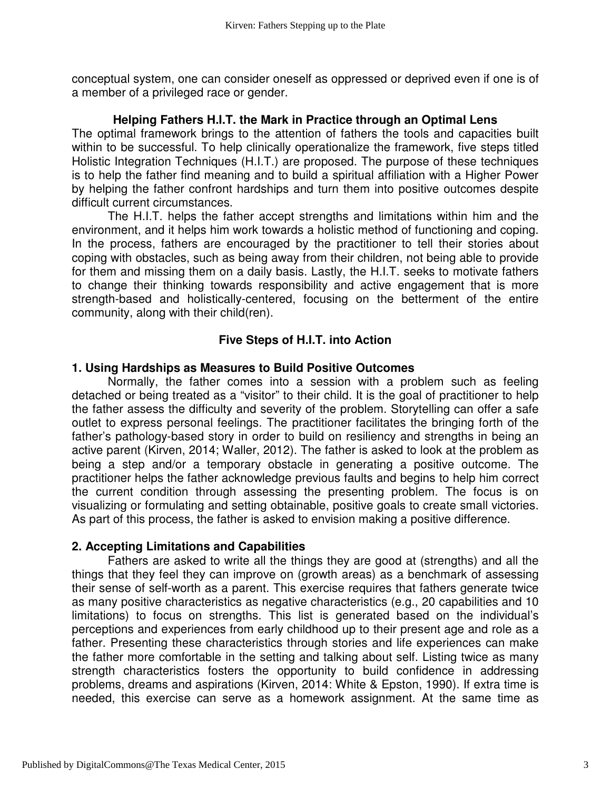conceptual system, one can consider oneself as oppressed or deprived even if one is of a member of a privileged race or gender.

#### **Helping Fathers H.I.T. the Mark in Practice through an Optimal Lens**

The optimal framework brings to the attention of fathers the tools and capacities built within to be successful. To help clinically operationalize the framework, five steps titled Holistic Integration Techniques (H.I.T.) are proposed. The purpose of these techniques is to help the father find meaning and to build a spiritual affiliation with a Higher Power by helping the father confront hardships and turn them into positive outcomes despite difficult current circumstances.

 The H.I.T. helps the father accept strengths and limitations within him and the environment, and it helps him work towards a holistic method of functioning and coping. In the process, fathers are encouraged by the practitioner to tell their stories about coping with obstacles, such as being away from their children, not being able to provide for them and missing them on a daily basis. Lastly, the H.I.T. seeks to motivate fathers to change their thinking towards responsibility and active engagement that is more strength-based and holistically-centered, focusing on the betterment of the entire community, along with their child(ren).

### **Five Steps of H.I.T. into Action**

#### **1. Using Hardships as Measures to Build Positive Outcomes**

 Normally, the father comes into a session with a problem such as feeling detached or being treated as a "visitor" to their child. It is the goal of practitioner to help the father assess the difficulty and severity of the problem. Storytelling can offer a safe outlet to express personal feelings. The practitioner facilitates the bringing forth of the father's pathology-based story in order to build on resiliency and strengths in being an active parent (Kirven, 2014; Waller, 2012). The father is asked to look at the problem as being a step and/or a temporary obstacle in generating a positive outcome. The practitioner helps the father acknowledge previous faults and begins to help him correct the current condition through assessing the presenting problem. The focus is on visualizing or formulating and setting obtainable, positive goals to create small victories. As part of this process, the father is asked to envision making a positive difference.

#### **2. Accepting Limitations and Capabilities**

 Fathers are asked to write all the things they are good at (strengths) and all the things that they feel they can improve on (growth areas) as a benchmark of assessing their sense of self-worth as a parent. This exercise requires that fathers generate twice as many positive characteristics as negative characteristics (e.g., 20 capabilities and 10 limitations) to focus on strengths. This list is generated based on the individual's perceptions and experiences from early childhood up to their present age and role as a father. Presenting these characteristics through stories and life experiences can make the father more comfortable in the setting and talking about self. Listing twice as many strength characteristics fosters the opportunity to build confidence in addressing problems, dreams and aspirations (Kirven, 2014: White & Epston, 1990). If extra time is needed, this exercise can serve as a homework assignment. At the same time as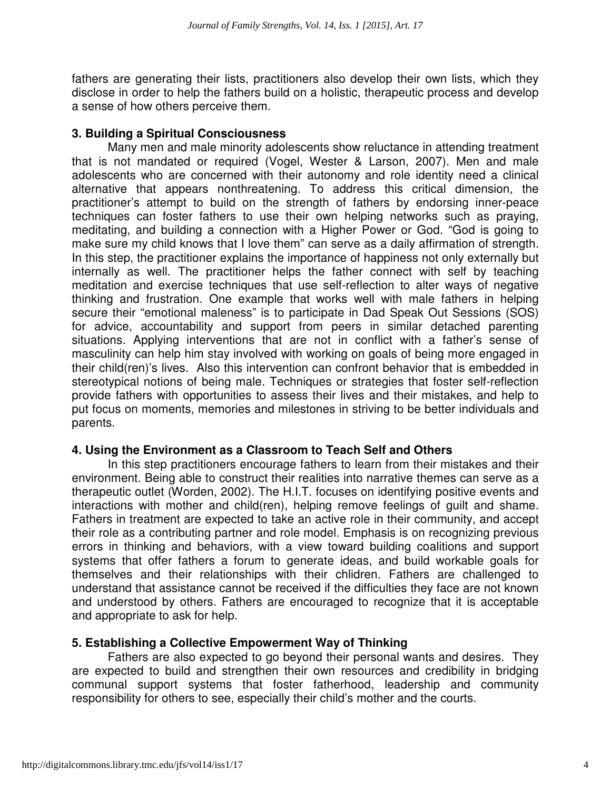fathers are generating their lists, practitioners also develop their own lists, which they disclose in order to help the fathers build on a holistic, therapeutic process and develop a sense of how others perceive them.

#### **3. Building a Spiritual Consciousness**

 Many men and male minority adolescents show reluctance in attending treatment that is not mandated or required (Vogel, Wester & Larson, 2007). Men and male adolescents who are concerned with their autonomy and role identity need a clinical alternative that appears nonthreatening. To address this critical dimension, the practitioner's attempt to build on the strength of fathers by endorsing inner-peace techniques can foster fathers to use their own helping networks such as praying, meditating, and building a connection with a Higher Power or God. "God is going to make sure my child knows that I love them" can serve as a daily affirmation of strength. In this step, the practitioner explains the importance of happiness not only externally but internally as well. The practitioner helps the father connect with self by teaching meditation and exercise techniques that use self-reflection to alter ways of negative thinking and frustration. One example that works well with male fathers in helping secure their "emotional maleness" is to participate in Dad Speak Out Sessions (SOS) for advice, accountability and support from peers in similar detached parenting situations. Applying interventions that are not in conflict with a father's sense of masculinity can help him stay involved with working on goals of being more engaged in their child(ren)'s lives. Also this intervention can confront behavior that is embedded in stereotypical notions of being male. Techniques or strategies that foster self-reflection provide fathers with opportunities to assess their lives and their mistakes, and help to put focus on moments, memories and milestones in striving to be better individuals and parents.

#### **4. Using the Environment as a Classroom to Teach Self and Others**

 In this step practitioners encourage fathers to learn from their mistakes and their environment. Being able to construct their realities into narrative themes can serve as a therapeutic outlet (Worden, 2002). The H.I.T. focuses on identifying positive events and interactions with mother and child(ren), helping remove feelings of guilt and shame. Fathers in treatment are expected to take an active role in their community, and accept their role as a contributing partner and role model. Emphasis is on recognizing previous errors in thinking and behaviors, with a view toward building coalitions and support systems that offer fathers a forum to generate ideas, and build workable goals for themselves and their relationships with their chlidren. Fathers are challenged to understand that assistance cannot be received if the difficulties they face are not known and understood by others. Fathers are encouraged to recognize that it is acceptable and appropriate to ask for help.

#### **5. Establishing a Collective Empowerment Way of Thinking**

 Fathers are also expected to go beyond their personal wants and desires. They are expected to build and strengthen their own resources and credibility in bridging communal support systems that foster fatherhood, leadership and community responsibility for others to see, especially their child's mother and the courts.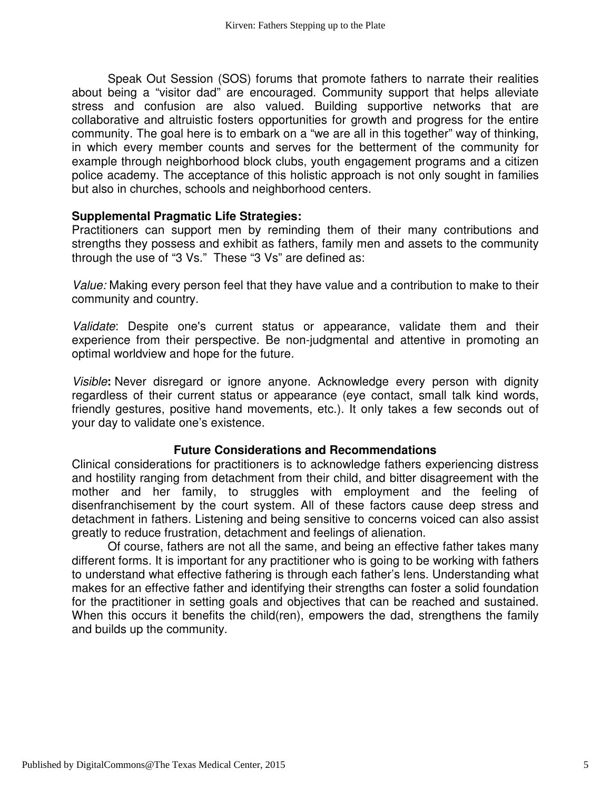Speak Out Session (SOS) forums that promote fathers to narrate their realities about being a "visitor dad" are encouraged. Community support that helps alleviate stress and confusion are also valued. Building supportive networks that are collaborative and altruistic fosters opportunities for growth and progress for the entire community. The goal here is to embark on a "we are all in this together" way of thinking, in which every member counts and serves for the betterment of the community for example through neighborhood block clubs, youth engagement programs and a citizen police academy. The acceptance of this holistic approach is not only sought in families but also in churches, schools and neighborhood centers.

#### **Supplemental Pragmatic Life Strategies:**

Practitioners can support men by reminding them of their many contributions and strengths they possess and exhibit as fathers, family men and assets to the community through the use of "3 Vs." These "3 Vs" are defined as:

Value: Making every person feel that they have value and a contribution to make to their community and country.

Validate: Despite one's current status or appearance, validate them and their experience from their perspective. Be non-judgmental and attentive in promoting an optimal worldview and hope for the future.

Visible**:** Never disregard or ignore anyone. Acknowledge every person with dignity regardless of their current status or appearance (eye contact, small talk kind words, friendly gestures, positive hand movements, etc.). It only takes a few seconds out of your day to validate one's existence.

#### **Future Considerations and Recommendations**

Clinical considerations for practitioners is to acknowledge fathers experiencing distress and hostility ranging from detachment from their child, and bitter disagreement with the mother and her family, to struggles with employment and the feeling of disenfranchisement by the court system. All of these factors cause deep stress and detachment in fathers. Listening and being sensitive to concerns voiced can also assist greatly to reduce frustration, detachment and feelings of alienation.

 Of course, fathers are not all the same, and being an effective father takes many different forms. It is important for any practitioner who is going to be working with fathers to understand what effective fathering is through each father's lens. Understanding what makes for an effective father and identifying their strengths can foster a solid foundation for the practitioner in setting goals and objectives that can be reached and sustained. When this occurs it benefits the child(ren), empowers the dad, strengthens the family and builds up the community.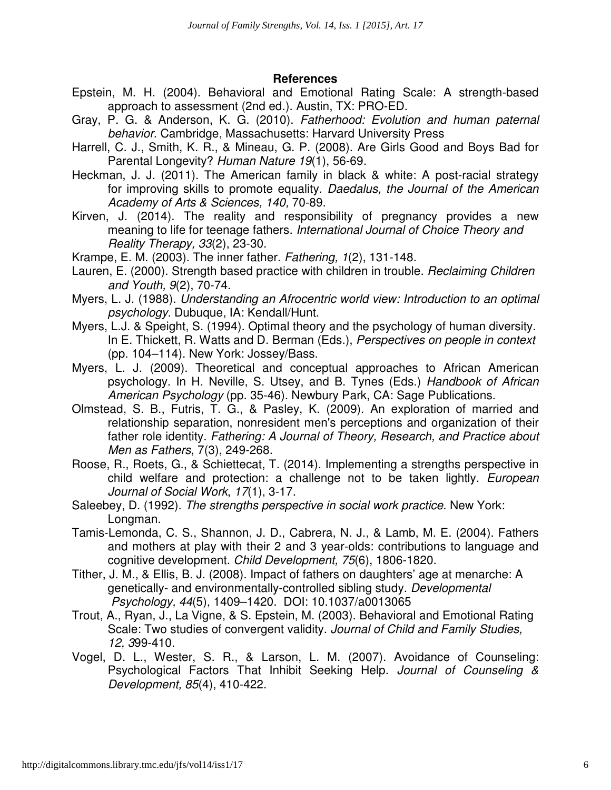#### **References**

- Epstein, M. H. (2004). Behavioral and Emotional Rating Scale: A strength-based approach to assessment (2nd ed.). Austin, TX: PRO-ED.
- Gray, P. G. & Anderson, K. G. (2010). Fatherhood: Evolution and human paternal behavior. Cambridge, Massachusetts: Harvard University Press
- Harrell, C. J., Smith, K. R., & Mineau, G. P. (2008). Are Girls Good and Boys Bad for Parental Longevity? Human Nature 19(1), 56-69.
- Heckman, J. J. (2011). The American family in black & white: A post-racial strategy for improving skills to promote equality. Daedalus, the Journal of the American Academy of Arts & Sciences, 140, 70-89.
- Kirven, J. (2014). The reality and responsibility of pregnancy provides a new meaning to life for teenage fathers. International Journal of Choice Theory and Reality Therapy, 33(2), 23-30.
- Krampe, E. M. (2003). The inner father. Fathering, 1(2), 131-148.
- Lauren, E. (2000). Strength based practice with children in trouble. Reclaiming Children and Youth, 9(2), 70-74.
- Myers, L. J. (1988). Understanding an Afrocentric world view: Introduction to an optimal psychology. Dubuque, IA: Kendall/Hunt.
- Myers, L.J. & Speight, S. (1994). Optimal theory and the psychology of human diversity. In E. Thickett, R. Watts and D. Berman (Eds.), Perspectives on people in context (pp. 104–114). New York: Jossey/Bass.
- Myers, L. J. (2009). Theoretical and conceptual approaches to African American psychology. In H. Neville, S. Utsey, and B. Tynes (Eds.) Handbook of African American Psychology (pp. 35-46). Newbury Park, CA: Sage Publications.
- Olmstead, S. B., Futris, T. G., & Pasley, K. (2009). An exploration of married and relationship separation, nonresident men's perceptions and organization of their father role identity. Fathering: A Journal of Theory, Research, and Practice about Men as Fathers, 7(3), 249-268.
- Roose, R., Roets, G., & Schiettecat, T. (2014). Implementing a strengths perspective in child welfare and protection: a challenge not to be taken lightly. European Journal of Social Work, 17(1), 3-17.
- Saleebey, D. (1992). The strengths perspective in social work practice. New York: Longman.
- Tamis-Lemonda, C. S., Shannon, J. D., Cabrera, N. J., & Lamb, M. E. (2004). Fathers and mothers at play with their 2 and 3 year-olds: contributions to language and cognitive development. Child Development, 75(6), 1806-1820.
- Tither, J. M., & Ellis, B. J. (2008). Impact of fathers on daughters' age at menarche: A genetically- and environmentally-controlled sibling study. Developmental Psychology, 44(5), 1409–1420. DOI: 10.1037/a0013065
- Trout, A., Ryan, J., La Vigne, & S. Epstein, M. (2003). Behavioral and Emotional Rating Scale: Two studies of convergent validity. Journal of Child and Family Studies, 12, 399-410.
- Vogel, D. L., Wester, S. R., & Larson, L. M. (2007). Avoidance of Counseling: Psychological Factors That Inhibit Seeking Help. Journal of Counseling & Development, 85(4), 410-422.